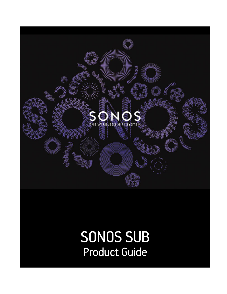

# SONOS SUB Product Guide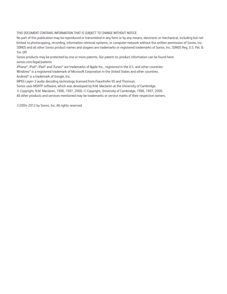THIS DOCUMENT CONTAINS INFORMATION THAT IS SUBJECT TO CHANGE WITHOUT NOTICE.

No part of this publication may be reproduced or transmitted in any form or by any means, electronic or mechanical, including but not limited to photocopying, recording, information retrieval systems, or computer network without the written permission of Sonos, Inc. SONOS and all other Sonos product names and slogans are trademarks or registered trademarks of Sonos, Inc. SONOS Reg. U.S. Pat. & Tm. Off.

Sonos products may be protected by one or more patents. Our patent-to-product information can be found here: *[sonos.com/legal/patents](http://www.sonos.com/legal/patents)*

iPhone®, iPod®, iPad® and iTunes® are trademarks of Apple Inc., registered in the U.S. and other countries.

Windows® is a registered trademark of Microsoft Corporation in the United States and other countries.

Android® is a trademark of Google, Inc.

MPEG Layer-3 audio decoding technology licensed from Fraunhofer IIS and Thomson.

Sonos uses MSNTP software, which was developed by N.M. Maclaren at the University of Cambridge.

© Copyright, N.M. Maclaren, 1996, 1997, 2000; © Copyright, University of Cambridge, 1996, 1997, 2000.

All other products and services mentioned may be trademarks or service marks of their respective owners.

©2004-2012 by Sonos, Inc. All rights reserved.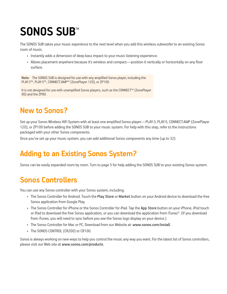# SONOS SUB<sup>®</sup>

The SONOS SUB takes your music experience to the next level when you add this wireless subwoofer to an existing Sonos room of music.

- Instantly adds a dimension of deep bass impact to your music listening experience.
- Allows placement anywhere because it's wireless and compact—position it vertically or horizontally on any floor surface.

**Note:** The SONOS SUB is designed for use with any amplified Sonos player, including the PLAY:3™, PLAY:5™, CONNECT:AMP™ (ZonePlayer 120), or ZP100.

It is not designed for use with unamplified Sonos players, such as the CONNECT™ (ZonePlayer 90) and the ZP80.

# **New to Sonos?**

Set up your Sonos Wireless HiFi System with at least one amplified Sonos player—PLAY:3, PLAY:5, CONNECT:AMP (ZonePlayer 120), or ZP100 before adding the SONOS SUB to your music system. For help with this step, refer to the instructions packaged with your other Sonos components.

Once you've set up your music system, you can add additional Sonos components any time (up to 32).

# **Adding to an Existing Sonos System?**

Sonos can be easily expanded room by room. Turn to [page 5](#page-6-0) for help adding the SONOS SUB to your existing Sonos system.

## **Sonos Controllers**

You can use any Sonos controller with your Sonos system, including:

- The Sonos Controller for Android. Touch the **Play Store** or **Market** button on your Android device to download the free Sonos application from Google Play.
- The Sonos Controller for iPhone or the Sonos Controller for iPad. Tap the **App Store** button on your iPhone, iPod touch or iPad to download the free Sonos application, or you can download the application from iTunes®. (If you download from iTunes, you will need to sync before you see the Sonos logo display on your device.)
- [The Sonos Controller for Mac or PC. Download from our Website at:](http://www.sonos.com/support/downloads) *www.sonos.com/install*.
- The SONOS CONTROL (CR200) or CR100.

Sonos is always working on new ways to help you control the music any way you want. For the latest list of Sonos controllers, please visit our Web site at *[www.sonos.com/products](http://www.sonos.com/products)*.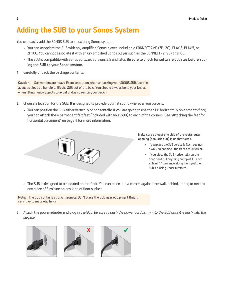# **Adding the SUB to your Sonos System**

You can easily add the SONOS SUB to an existing Sonos system.

- You can associate the SUB with any amplified Sonos player, including a CONNECT:AMP (ZP120), PLAY:3, PLAY:5, or ZP100. You cannot associate it with an un-amplified Sonos player such as the CONNECT (ZP90) or ZP80.
- The SUB is compatible with Sonos software versions 3.8 and later. **Be sure to check for software updates before adding the SUB to your Sonos system.**
- **1.** Carefully unpack the package contents.

**Caution:** Subwoofers are heavy. Exercise caution when unpacking your SONOS SUB. Use the acoustic slot as a handle to lift the SUB out of the box. (You should always bend your knees when lifting heavy objects to avoid undue stress on your back.)

- **2.** Choose a location for the SUB. It is designed to provide optimal sound wherever you place it.
	- You can position the SUB either vertically or horizontally. If you are going to use the SUB horizontally on a smooth floor, you can attach the 4 permanent felt feet (included with your SUB) to each of the corners. See ["Attaching the feet for](#page-5-0)  [horizontal placement" on page 4](#page-5-0) for more information.



**Make sure at least one side of the rectangular opening (acoustic slot) is unobstructed.**

- If you place the SUB vertically flush against a wall, do not block the front acoustic slot.
- If you place the SUB horizontally on the floor, don't put anything on top of it. Leave at least 1" clearance along the top of the SUB if placing under furniture.
- The SUB is designed to be located on the floor. You can place it in a corner, against the wall, behind, under, or next to any piece of furniture on any kind of floor surface.

**Note:** The SUB contains strong magnets. Don't place the SUB near equipment that is sensitive to magnetic fields.

**3.** Attach the power adapter and plug in the SUB. *Be sure to push the power cord firmly into the SUB until it is flush with the surface.*





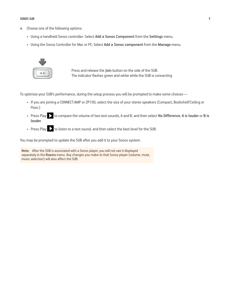#### SONOS SUB 3

- **4.** Choose one of the following options:
	- Using a handheld Sonos controller: Select **Add a Sonos Component** from the **Settings** menu.
	- Using the Sonos Controller for Mac or PC: Select **Add a Sonos component** from the **Manage** menu.



Press and release the **Join** button on the side of the SUB. The indicator flashes green and white while the SUB is connecting

To optimize your SUB's performance, during the setup process you will be prompted to make some choices—

- If you are joining a CONNECT:AMP or ZP100, select the size of your stereo speakers (Compact, Bookshelf/Ceiling or Floor.)
- Press Play **to compare the volume of two test sounds**, A and B, and then select **No Difference**, A is louder or B is **louder**.
- Press Play  $\sum$  to listen to a test sound, and then select the best level for the SUB.

You may be prompted to update the SUB after you add it to your Sonos system.

**Note:** After the SUB is associated with a Sonos player, you will not see it displayed separately in the **Rooms** menu. Any changes you make to that Sonos player (volume, mute, music selection) will also affect the SUB.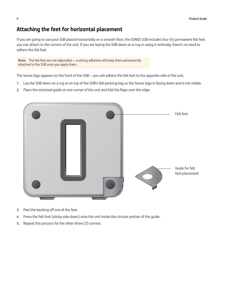#### <span id="page-5-0"></span>**Attaching the feet for horizontal placement**

If you are going to use your SUB placed horizontally on a smooth floor, the SONOS SUB includes four (4) permanent felt feet you can attach to the corners of the unit. If you are laying the SUB down on a rug or using it vertically, there's no need to adhere the felt feet.

**Note:** The felt feet are not adjustable—a strong adhesive will keep them permanently attached to the SUB once you apply them.

The Sonos logo appears on the front of the SUB—you will adhere the felt feet to the opposite side of the unit.

- **1.** Lay the SUB down on a rug or on top of the SUB's felt packing bag so the Sonos logo is facing down and is not visible.
- **2.** Place the enclosed guide on one corner of the unit and fold the flaps over the edge.



- **3.** Peel the backing off one of the feet.
- **4.** Press the felt foot (sticky side down) onto the unit inside the circular portion of the guide.
- **5.** Repeat this process for the other three (3) corners.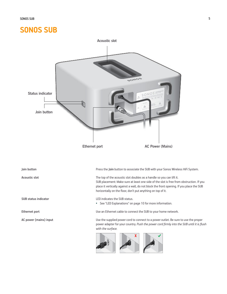### **SONOS SUB**

<span id="page-6-0"></span>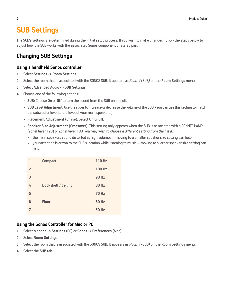### <span id="page-7-0"></span>**SUB Settings**

The SUB's settings are determined during the initial setup process. If you wish to make changes, follow the steps below to adjust how the SUB works with the associated Sonos component or stereo pair.

### **Changing SUB Settings**

#### **Using a handheld Sonos controller**

- **1.** Select **Settings -> Room Settings**.
- **2.** Select the room that is associated with the SONOS SUB. It appears as *Room (*+SUB*)* on the **Room Settings** menu.
- **3.** Select **Advanced Audio -> SUB Settings.**
- **4.** Choose one of the following options:
	- **SUB:** Choose **On** or **Off** to turn the sound from the SUB on and off.
	- **SUB Level Adjustment**: Use the slider to increase or decrease the volume of the SUB. (You can use this setting to match the subwoofer level to the level of your main speakers.)
	- **Placement Adjustment** (phase): Select **On** or **Off**.
	- **Speaker Size Adjustment (Crossover)**: This setting only appears when the SUB is associated with a CONNECT:AMP (ZonePlayer 120) or ZonePlayer 100. *You may wish to choose a different setting from the list if:* 
		- the main speakers sound distorted at high volumes—moving to a smaller speaker size setting can help.
		- your attention is drawn to the SUB's location while listening to music—moving to a larger speaker size setting can help.

| 1              | <b>Compact</b>             | 110 Hz       |
|----------------|----------------------------|--------------|
| $\overline{2}$ |                            | 100 Hz       |
| 3              |                            | <b>90 Hz</b> |
| 4              | <b>Bookshelf / Ceiling</b> | <b>80 Hz</b> |
| 5              |                            | <b>70 Hz</b> |
| 6              | <b>Floor</b>               | <b>60 Hz</b> |
| 7              |                            | 50 Hz        |
|                |                            |              |

#### **Using the Sonos Controller for Mac or PC**

- **1.** Select **Manage** -> **Settings** (PC) or **Sonos** -> **Preferences** (Mac).
- **2.** Select **Room Settings**.
- **3.** Select the room that is associated with the SONOS SUB. It appears as *Room (*+SUB*)* on the **Room Settings** menu.
- **4.** Select the **SUB** tab.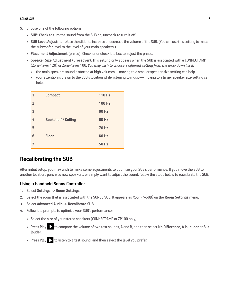- **5.** Choose one of the following options:
	- **SUB:** Check to turn the sound from the SUB on; uncheck to turn it off.
	- **SUB Level Adjustment**: Use the slider to increase or decrease the volume of the SUB. (You can use this setting to match the subwoofer level to the level of your main speakers.)
	- **Placement Adjustment** (phase): Check or uncheck the box to adjust the phase.
	- **Speaker Size Adjustment (Crossover)**: This setting only appears when the SUB is associated with a CONNECT:AMP (ZonePlayer 120) or ZonePlayer 100. *You may wish to choose a different setting from the drop-down list if:* 
		- the main speakers sound distorted at high volumes—moving to a smaller speaker size setting can help.
		- your attention is drawn to the SUB's location while listening to music— moving to a larger speaker size setting can help.

| 1              | <b>Compact</b>             | <b>110 Hz</b> |
|----------------|----------------------------|---------------|
| $\overline{2}$ |                            | <b>100 Hz</b> |
| 3              |                            | <b>90 Hz</b>  |
| 4              | <b>Bookshelf / Ceiling</b> | <b>80 Hz</b>  |
| 5              |                            | <b>70 Hz</b>  |
| 6              | <b>Floor</b>               | <b>60 Hz</b>  |
| 7              |                            | <b>50 Hz</b>  |

#### **Recalibrating the SUB**

After initial setup, you may wish to make some adjustments to optimize your SUB's performance. If you move the SUB to another location, purchase new speakers, or simply want to adjust the sound, follow the steps below to recalibrate the SUB.

#### **Using a handheld Sonos Controller**

- **1.** Select **Settings -> Room Settings**.
- **2.** Select the room that is associated with the SONOS SUB. It appears as *Room (*+SUB*)* on the **Room Settings** menu.
- **3.** Select **Advanced Audio -> Recalibrate SUB.**
- **4.** Follow the prompts to optimize your SUB's performance:
	- Select the size of your stereo speakers (CONNECT:AMP or ZP100 only).
	- Press Play **to compare the volume of two test sounds**, A and B, and then select **No Difference**, A is louder or B is **louder**.
	- Press Play  $\sum$  to listen to a test sound, and then select the level you prefer.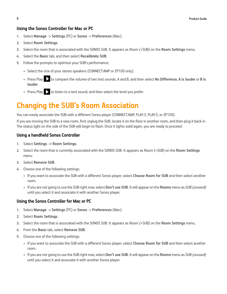#### **Using the Sonos Controller for Mac or PC**

- **1.** Select **Manage** -> **Settings** (PC) or **Sonos** -> **Preferences** (Mac).
- **2.** Select **Room Settings**.
- **3.** Select the room that is associated with the SONOS SUB. It appears as *Room (*+SUB*)* on the **Room Settings** menu.
- **4.** Select the **Basic** tab, and then select **Recalibrate SUB**.
- **5.** Follow the prompts to optimize your SUB's performance:
	- Select the size of your stereo speakers (CONNECT:AMP or ZP100 only).
	- Press Play **to compare the volume of two test sounds**, A and B, and then select **No Difference**, A is louder or B is **louder**.
	- Press Play  $\sum$  to listen to a test sound, and then select the level you prefer.

## **Changing the SUB's Room Association**

You can easily associate the SUB with a different Sonos player (CONNECT:AMP, PLAY:3, PLAY:5, or ZP100).

If you are moving the SUB to a new room, first unplug the SUB, locate it on the floor in another room, and then plug it back in. The status light on the side of the SUB will begin to flash. Once it lights solid again, you are ready to proceed.

#### **Using a handheld Sonos Controller**

- **1.** Select **Settings -> Room Settings**.
- **2.** Select the room that is currently associated with the SONOS SUB. It appears as *Room* (+SUB) on the **Room Settings** menu.
- **3.** Select **Remove SUB**.
- **4.** Choose one of the following settings:
	- If you want to associate the SUB with a different Sonos player, select **Choose Room for SUB** and then select another room.
	- If you are not going to use the SUB right now, select **Don't use SUB**. It will appear on the **Rooms** menu as *SUB (unused)* until you select it and associate it with another Sonos player.

#### **Using the Sonos Controller for Mac or PC**

- **1.** Select **Manage** -> **Settings** (PC) or **Sonos** -> **Preferences** (Mac).
- **2.** Select **Room Settings**.
- **3.** Select the room that is associated with the SONOS SUB. It appears as *Room (*+SUB*)* on the **Room Settings** menu.
- **4.** From the **Basic** tab, select **Remove SUB**.
- **5.** Choose one of the following settings:
	- If you want to associate the SUB with a different Sonos player, select **Choose Room for SUB** and then select another room.
	- If you are not going to use the SUB right now, select **Don't use SUB**. It will appear on the **Rooms** menu as *SUB (unused)* until you select it and associate it with another Sonos player.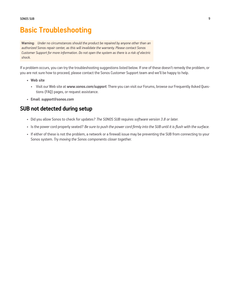### **Basic Troubleshooting**

**Warning:** *Under no circumstances should the product be repaired by anyone other than an authorized Sonos repair center, as this will invalidate the warranty. Please contact Sonos Customer Support for more information. Do not open the system as there is a risk of electric shock.* 

If a problem occurs, you can try the troubleshooting suggestions listed below. If one of these doesn't remedy the problem, or you are not sure how to proceed, please contact the Sonos Customer Support team and we'll be happy to help.

- **Web site**
	- Visit our Web site at *[www.sonos.com/support](http://www.sonos.com/support)*. There you can visit our Forums, browse our Frequently Asked Questions (FAQ) pages, or request assistance.
- **Email**: *[support@sonos.com](mailto:support@sonos.com)*

#### **SUB not detected during setup**

- Did you allow Sonos to check for updates? *The SONOS SUB requires software version 3.8 or later.*
- Is the power cord properly seated? *Be sure to push the power cord firmly into the SUB until it is flush with the surface.*
- If either of these is not the problem, a network or a firewall issue may be preventing the SUB from connecting to your Sonos system. *Try moving the Sonos components closer together.*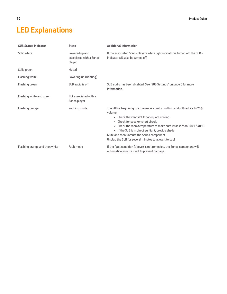# <span id="page-11-0"></span>**LED Explanations**

| <b>SUB Status Indicator</b>    | <b>State</b>                                        | <b>Additional Information</b>                                                                                                                                                                                                                                                                                                                                                                               |
|--------------------------------|-----------------------------------------------------|-------------------------------------------------------------------------------------------------------------------------------------------------------------------------------------------------------------------------------------------------------------------------------------------------------------------------------------------------------------------------------------------------------------|
| Solid white                    | Powered up and<br>associated with a Sonos<br>player | If the associated Sonos player's white light indicator is turned off, the SUB's<br>indicator will also be turned off.                                                                                                                                                                                                                                                                                       |
| Solid green                    | Muted                                               |                                                                                                                                                                                                                                                                                                                                                                                                             |
| Flashing white                 | Powering up (booting)                               |                                                                                                                                                                                                                                                                                                                                                                                                             |
| Flashing green                 | SUB audio is off                                    | SUB audio has been disabled. See "SUB Settings" on page 6 for more<br>information.                                                                                                                                                                                                                                                                                                                          |
| Flashing white and green       | Not associated with a<br>Sonos player               |                                                                                                                                                                                                                                                                                                                                                                                                             |
| Flashing orange                | Warning mode                                        | The SUB is beginning to experience a fault condition and will reduce to 75%<br>volume.<br>• Check the vent slot for adequate cooling<br>• Check for speaker short circuit<br>• Check the room temperature to make sure it's less than 104°F/40°C<br>• If the SUB is in direct sunlight, provide shade<br>Mute and then unmute the Sonos component<br>Unplug the SUB for several minutes to allow it to cool |
| Flashing orange and then white | Fault mode                                          | If the fault condition (above) is not remedied, the Sonos component will<br>automatically mute itself to prevent damage.                                                                                                                                                                                                                                                                                    |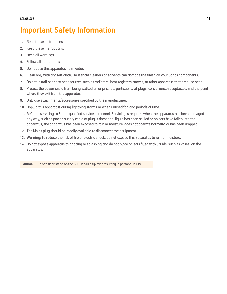### **Important Safety Information**

- **1.** Read these instructions.
- **2.** Keep these instructions.
- **3.** Heed all warnings.
- **4.** Follow all instructions.
- **5.** Do not use this apparatus near water.
- **6.** Clean only with dry soft cloth. Household cleaners or solvents can damage the finish on your Sonos components.
- **7.** Do not install near any heat sources such as radiators, heat registers, stoves, or other apparatus that produce heat.
- **8.** Protect the power cable from being walked on or pinched, particularly at plugs, convenience receptacles, and the point where they exit from the apparatus.
- **9.** Only use attachments/accessories specified by the manufacturer.
- **10.** Unplug this apparatus during lightning storms or when unused for long periods of time.
- **11.** Refer all servicing to Sonos qualified service personnel. Servicing is required when the apparatus has been damaged in any way, such as power-supply cable or plug is damaged, liquid has been spilled or objects have fallen into the apparatus, the apparatus has been exposed to rain or moisture, does not operate normally, or has been dropped.
- **12.** The Mains plug should be readily available to disconnect the equipment.
- **13. Warning**: To reduce the risk of fire or electric shock, do not expose this apparatus to rain or moisture.
- **14.** Do not expose apparatus to dripping or splashing and do not place objects filled with liquids, such as vases, on the apparatus.

**Caution:** Do not sit or stand on the SUB. It could tip over resulting in personal injury.